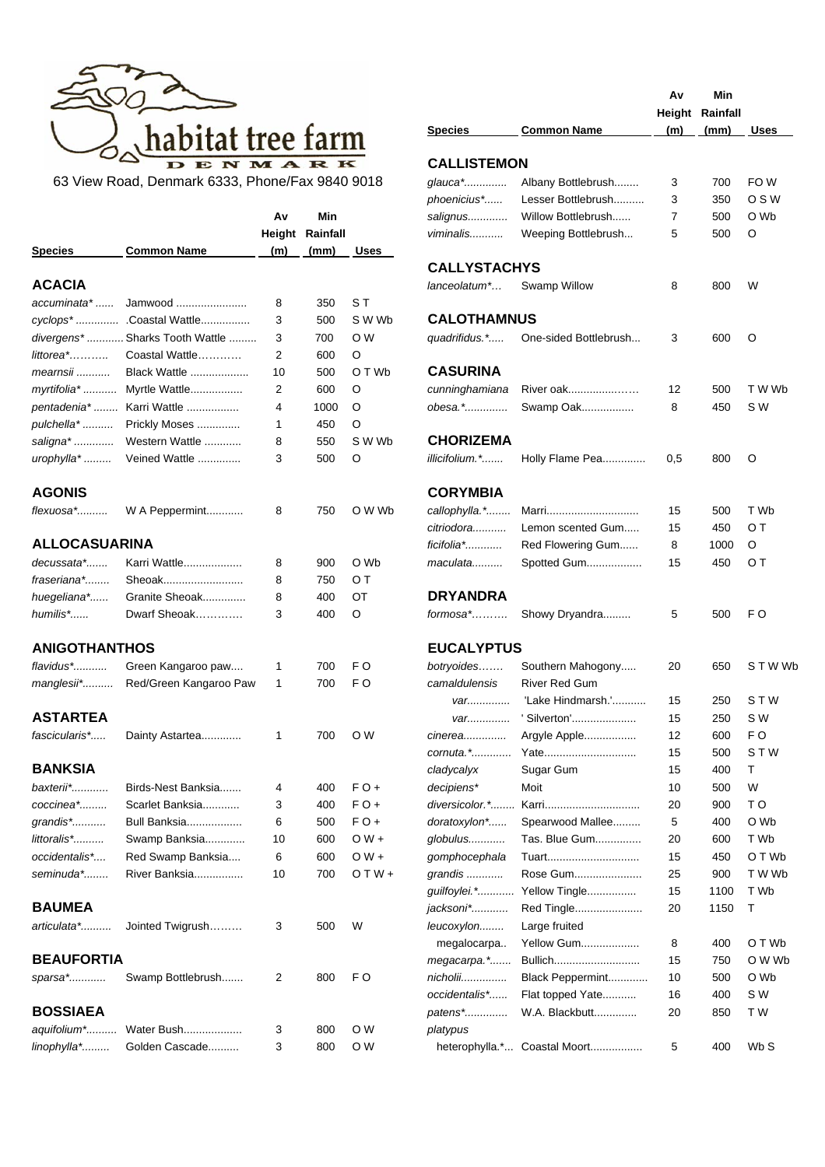

|                      |                                 | Av  | Min                    |                | salignus            | Willow Bottlebrush           | 7   | 500  | O Wb           |
|----------------------|---------------------------------|-----|------------------------|----------------|---------------------|------------------------------|-----|------|----------------|
|                      |                                 |     | <b>Height Rainfall</b> |                | viminalis           | Weeping Bottlebrush          | 5   | 500  | $\circ$        |
| <b>Species</b>       | <b>Common Name</b>              | (m) | (mm)                   | Uses           |                     |                              |     |      |                |
|                      |                                 |     |                        |                | <b>CALLYSTACHYS</b> |                              |     |      |                |
| <b>ACACIA</b>        |                                 |     |                        |                | lanceolatum*        | Swamp Willow                 | 8   | 800  | W              |
| accuminata*          | Jamwood                         | 8   | 350                    | ST             |                     |                              |     |      |                |
|                      | cyclops*  Coastal Wattle        | 3   | 500                    | S W Wb         | <b>CALOTHAMNUS</b>  |                              |     |      |                |
|                      | divergens*  Sharks Tooth Wattle | 3   | 700                    | O W            | quadrifidus.*       | One-sided Bottlebrush        | 3   | 600  | O              |
| littorea*            | Coastal Wattle                  | 2   | 600                    | O              |                     |                              |     |      |                |
| mearnsii             | Black Wattle                    | 10  | 500                    | O T Wb         | <b>CASURINA</b>     |                              |     |      |                |
| myrtifolia*          | Myrtle Wattle                   | 2   | 600                    | O              | cunninghamiana      | River oak                    | 12  | 500  | T W Wk         |
|                      | pentadenia*  Karri Wattle       | 4   | 1000                   | O              | obesa.*             | Swamp Oak                    | 8   | 450  | S W            |
| pulchella*           | Prickly Moses                   | 1   | 450                    | O              |                     |                              |     |      |                |
| saligna*             | Western Wattle                  | 8   | 550                    | S W Wb         | <b>CHORIZEMA</b>    |                              |     |      |                |
| urophylla*           | Veined Wattle                   | 3   | 500                    | O              | illicifolium.*      | Holly Flame Pea              | 0,5 | 800  | O              |
| <b>AGONIS</b>        |                                 |     |                        |                | <b>CORYMBIA</b>     |                              |     |      |                |
| flexuosa*            | W A Peppermint                  | 8   | 750                    | O W Wb         | callophylla.*       | Marri                        | 15  | 500  | T Wb           |
|                      |                                 |     |                        |                | citriodora          | Lemon scented Gum            | 15  | 450  | ОT             |
| <b>ALLOCASUARINA</b> |                                 |     |                        |                | ficifolia*          | Red Flowering Gum            | 8   | 1000 | O              |
| decussata*           | Karri Wattle                    | 8   | 900                    | O Wb           | maculata            | Spotted Gum                  | 15  | 450  | ОT             |
| fraseriana*          | Sheoak                          | 8   | 750                    | ОT             |                     |                              |     |      |                |
| huegeliana*          | Granite Sheoak                  | 8   | 400                    | OT             | <b>DRYANDRA</b>     |                              |     |      |                |
| humilis*             | Dwarf Sheoak                    | 3   | 400                    | O              | formosa*            | Showy Dryandra               | 5   | 500  | F O            |
| <b>ANIGOTHANTHOS</b> |                                 |     |                        |                | <b>EUCALYPTUS</b>   |                              |     |      |                |
| flavidus*            | Green Kangaroo paw              | 1   | 700                    | F <sub>O</sub> | botryoides          | Southern Mahogony            | 20  | 650  | <b>STW</b>     |
| manglesii*           | Red/Green Kangaroo Paw          | 1   | 700                    | F <sub>O</sub> | camaldulensis       | <b>River Red Gum</b>         |     |      |                |
|                      |                                 |     |                        |                | var                 | 'Lake Hindmarsh.'            | 15  | 250  | STW            |
| <b>ASTARTEA</b>      |                                 |     |                        |                | var                 | 'Silverton'                  | 15  | 250  | S W            |
| fascicularis*        | Dainty Astartea                 | 1   | 700                    | O W            | <i>cinerea</i> .    | Argyle Apple                 | 12  | 600  | F <sub>O</sub> |
|                      |                                 |     |                        |                | cornuta.*           | Yate                         | 15  | 500  | <b>STW</b>     |
| <b>BANKSIA</b>       |                                 |     |                        |                | cladycalyx          | Sugar Gum                    | 15  | 400  | Т              |
| baxterii*            | Birds-Nest Banksia              | 4   | 400                    | $FO +$         | decipiens*          | Moit                         | 10  | 500  | W              |
| coccinea*            | Scarlet Banksia                 | 3   | 400                    | $FO +$         | diversicolor.*      | Karri                        | 20  | 900  | T <sub>O</sub> |
| grandis*             | <b>Bull Banksia</b>             | 6   | 500                    | $FO +$         | doratoxylon*        | Spearwood Mallee             | 5   | 400  | O Wb           |
| littoralis*          | Swamp Banksia                   | 10  | 600                    | $OW +$         | globulus            | Tas. Blue Gum                | 20  | 600  | T Wb           |
| occidentalis*        | Red Swamp Banksia               | 6   | 600                    | $OW +$         | gomphocephala       | Tuart                        | 15  | 450  | O T Wb         |
| seminuda*            | River Banksia                   | 10  | 700                    | $O T W +$      | grandis             | Rose Gum                     | 25  | 900  | T W Wt         |
|                      |                                 |     |                        |                | guilfoylei.*        | Yellow Tingle                | 15  | 1100 | T Wb           |
| <b>BAUMEA</b>        |                                 |     |                        |                | jacksoni*           | Red Tingle                   | 20  | 1150 | $\mathsf{T}$   |
| articulata*          | Jointed Twigrush                | 3   | 500                    | W              | leucoxylon          | Large fruited                |     |      |                |
|                      |                                 |     |                        |                | megalocarpa         | <b>Yellow Gum</b>            | 8   | 400  | O T Wb         |
| <b>BEAUFORTIA</b>    |                                 |     |                        |                | megacarpa.*         | Bullich                      | 15  | 750  | O W WI         |
| sparsa*              | Swamp Bottlebrush               | 2   | 800                    | FO             | nicholii            | Black Peppermint             | 10  | 500  | O Wb           |
|                      |                                 |     |                        |                | occidentalis*       | Flat topped Yate             | 16  | 400  | S W            |
| <b>BOSSIAEA</b>      |                                 |     |                        |                | patens*             | W.A. Blackbutt               | 20  | 850  | T W            |
| aquifolium*          | Water Bush                      | 3   | 800                    | O W            | platypus            |                              |     |      |                |
| linophylla*          | Golden Cascade                  | 3   | 800                    | O W            |                     | heterophylla.* Coastal Moort | 5   | 400  | Wb S           |
|                      |                                 |     |                        |                |                     |                              |     |      |                |

|                              | habitat tree farm                               |                |                 |                | <b>Species</b>      | <b>Common Name</b>           | Av<br>(m) | Min<br>Height Rainfall<br>(mm) | <b>Uses</b>       |
|------------------------------|-------------------------------------------------|----------------|-----------------|----------------|---------------------|------------------------------|-----------|--------------------------------|-------------------|
|                              |                                                 |                |                 |                | <b>CALLISTEMON</b>  |                              |           |                                |                   |
|                              | 63 View Road, Denmark 6333, Phone/Fax 9840 9018 |                |                 |                | glauca*             | Albany Bottlebrush           | 3         | 700                            | FO W              |
|                              |                                                 |                |                 |                | phoenicius*         | Lesser Bottlebrush           | 3         | 350                            | OSW               |
|                              |                                                 | A٧             | Min             |                | salignus            | Willow Bottlebrush           | 7         | 500                            | O Wb              |
|                              |                                                 |                | Height Rainfall |                | viminalis           | Weeping Bottlebrush          | 5         | 500                            | $\circ$           |
| Species                      | <b>Common Name</b>                              | (m)            | (mm)            | Uses           |                     |                              |           |                                |                   |
|                              |                                                 |                |                 |                | <b>CALLYSTACHYS</b> |                              |           |                                |                   |
| ACACIA                       |                                                 |                |                 |                | lanceolatum*        | Swamp Willow                 | 8         | 800                            | W                 |
| accuminata*                  | Jamwood                                         | 8              | 350             | S T            |                     |                              |           |                                |                   |
|                              | cyclops*  Coastal Wattle                        | 3              | 500             | S W Wb         | <b>CALOTHAMNUS</b>  |                              |           |                                |                   |
|                              | divergens*  Sharks Tooth Wattle                 | 3              | 700             | O W            | quadrifidus.*       | One-sided Bottlebrush        | 3         | 600                            | O                 |
| littorea*                    | Coastal Wattle                                  | $\overline{2}$ | 600             | O              |                     |                              |           |                                |                   |
| mearnsii                     | Black Wattle                                    | 10             | 500             | O T Wb         | <b>CASURINA</b>     |                              |           |                                |                   |
| myrtifolia*                  | Myrtle Wattle                                   | 2              | 600             | O              | cunninghamiana      | River oak                    | 12        | 500                            | T W Wb            |
| pentadenia*                  | Karri Wattle                                    | 4              | 1000            | O              | obesa.*             | Swamp Oak                    | 8         | 450                            | S W               |
| pulchella*                   | Prickly Moses                                   | 1              | 450             | O              |                     |                              |           |                                |                   |
| saligna*                     | Western Wattle                                  | 8              | 550             | S W Wb         | <b>CHORIZEMA</b>    |                              |           |                                |                   |
| urophylla*                   | Veined Wattle                                   | 3              | 500             | O              | illicifolium.*      | Holly Flame Pea              | 0,5       | 800                            | O                 |
| <b>AGONIS</b>                |                                                 |                |                 |                | <b>CORYMBIA</b>     |                              |           |                                |                   |
| flexuosa*                    | W A Peppermint                                  | 8              | 750             | O W Wb         | callophylla.*       | Marri                        | 15        | 500                            | T Wb              |
|                              |                                                 |                |                 |                | citriodora          | Lemon scented Gum            | 15        | 450                            | O T               |
| <b>ALLOCASUARINA</b>         |                                                 |                |                 |                | ficifolia*          | Red Flowering Gum            | 8         | 1000                           | O                 |
| decussata*                   | Karri Wattle                                    | 8              | 900             | O Wb           | maculata            | Spotted Gum                  | 15        | 450                            | OТ                |
| fraseriana*                  | Sheoak                                          | 8              | 750             | ОT             |                     |                              |           |                                |                   |
| huegeliana*                  | Granite Sheoak                                  | 8              | 400             | ОT             | <b>DRYANDRA</b>     |                              |           |                                |                   |
| humilis*                     | Dwarf Sheoak                                    | 3              | 400             | O              | formosa*            | Showy Dryandra               | 5         | 500                            | F O               |
| <b>ANIGOTHANTHOS</b>         |                                                 |                |                 |                | <b>EUCALYPTUS</b>   |                              |           |                                |                   |
| flavidus*                    | Green Kangaroo paw                              | 1              | 700             | F O            | botryoides          | Southern Mahogony            | 20        | 650                            | STWW <sub>b</sub> |
| manglesii*                   | Red/Green Kangaroo Paw                          | 1              | 700             | F <sub>O</sub> | camaldulensis       | <b>River Red Gum</b>         |           |                                |                   |
|                              |                                                 |                |                 |                | $var$ <sub></sub>   | 'Lake Hindmarsh.'            | 15        | 250                            | <b>STW</b>        |
| <b>ASTARTEA</b>              |                                                 |                |                 |                | var                 | 'Silverton'                  | 15        | 250                            | S W               |
| fascicularis*                | Dainty Astartea                                 | 1              | 700             | O W            | cinerea             | Argyle Apple                 | 12        | 600                            | F <sub>O</sub>    |
|                              |                                                 |                |                 |                | cornuta. *          | Yate                         | 15        | 500                            | STW               |
| <b>BANKSIA</b>               |                                                 |                |                 |                | cladycalyx          | Sugar Gum                    | 15        | 400                            | т                 |
| baxterii*                    | Birds-Nest Banksia                              | 4              | 400             | $FO +$         | decipiens*          | Moit                         | 10        | 500                            | W                 |
| coccinea*                    | Scarlet Banksia                                 | 3              | 400             | $FO +$         | diversicolor.*      | Karri                        | 20        | 900                            | T <sub>O</sub>    |
|                              |                                                 | 6              | 500             | $FO +$         | doratoxylon*        | Spearwood Mallee             | 5         | 400                            | O Wb              |
| grandis*                     | Bull Banksia<br>Swamp Banksia                   |                |                 | $OW +$         |                     | Tas. Blue Gum                |           |                                | T Wb              |
| littoralis*<br>occidentalis* |                                                 | 10             | 600             | $OW +$         | globulus            |                              | 20        | 600                            | O T Wb            |
|                              | Red Swamp Banksia                               | 6              | 600             |                | gomphocephala       | Tuart                        | 15        | 450                            |                   |
| seminuda*                    | River Banksia                                   | 10             | 700             | $O$ T W +      | grandis             | Rose Gum                     | 25        | 900                            | T W Wb            |
|                              |                                                 |                |                 |                | guilfoylei.*        | Yellow Tingle                | 15        | 1100                           | T Wb              |
| <b>BAUMEA</b>                |                                                 |                |                 |                | jacksoni*           | Red Tingle                   | 20        | 1150                           | т                 |
| articulata*                  | Jointed Twigrush                                | 3              | 500             | W              | leucoxylon          | Large fruited                |           |                                |                   |
|                              |                                                 |                |                 |                | megalocarpa         | <b>Yellow Gum</b>            | 8         | 400                            | O T Wb            |
| <b>BEAUFORTIA</b>            |                                                 |                |                 |                | megacarpa.*         | Bullich                      | 15        | 750                            | O W Wb            |
| sparsa*                      | Swamp Bottlebrush                               | 2              | 800             | F O            | nicholii            | Black Peppermint             | 10        | 500                            | O Wb              |
|                              |                                                 |                |                 |                | occidentalis*       | Flat topped Yate             | 16        | 400                            | S W               |
| <b>BOSSIAEA</b>              |                                                 |                |                 |                | patens*             | W.A. Blackbutt               | 20        | 850                            | T W               |
| aquifolium*                  | Water Bush                                      | 3              | 800             | O W            | platypus            |                              |           |                                |                   |
| linophylla*                  | Golden Cascade                                  | 3              | 800             | O W            |                     | heterophylla.* Coastal Moort | 5         | 400                            | Wb S              |